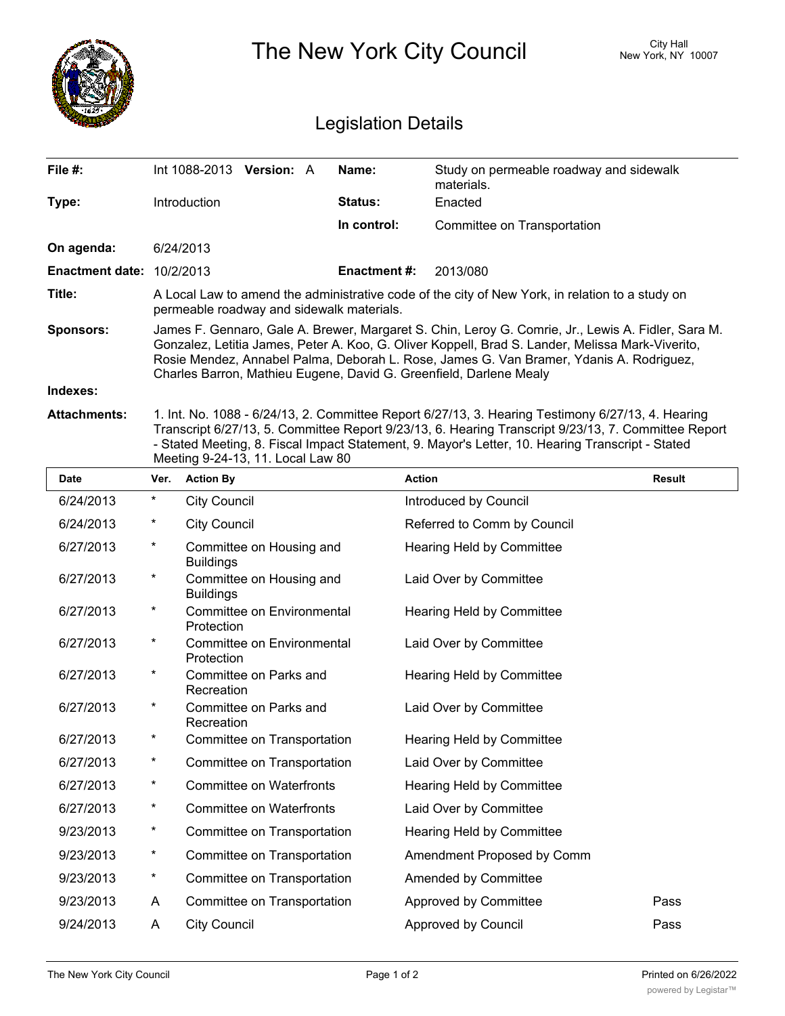|                                  |                                                                                                                                                                                                                                                                                                                                                                         | <b>City Hall</b><br>New York, NY 10007 |  |                     |                                                       |        |  |  |
|----------------------------------|-------------------------------------------------------------------------------------------------------------------------------------------------------------------------------------------------------------------------------------------------------------------------------------------------------------------------------------------------------------------------|----------------------------------------|--|---------------------|-------------------------------------------------------|--------|--|--|
|                                  | <b>Legislation Details</b>                                                                                                                                                                                                                                                                                                                                              |                                        |  |                     |                                                       |        |  |  |
| File #:                          | Int 1088-2013 Version: A                                                                                                                                                                                                                                                                                                                                                |                                        |  | Name:               | Study on permeable roadway and sidewalk<br>materials. |        |  |  |
| Type:                            | Introduction                                                                                                                                                                                                                                                                                                                                                            |                                        |  | Status:             | Enacted                                               |        |  |  |
|                                  |                                                                                                                                                                                                                                                                                                                                                                         |                                        |  | In control:         | Committee on Transportation                           |        |  |  |
| On agenda:                       | 6/24/2013                                                                                                                                                                                                                                                                                                                                                               |                                        |  |                     |                                                       |        |  |  |
| <b>Enactment date: 10/2/2013</b> |                                                                                                                                                                                                                                                                                                                                                                         |                                        |  | <b>Enactment #:</b> | 2013/080                                              |        |  |  |
| Title:                           | A Local Law to amend the administrative code of the city of New York, in relation to a study on<br>permeable roadway and sidewalk materials.                                                                                                                                                                                                                            |                                        |  |                     |                                                       |        |  |  |
| <b>Sponsors:</b>                 | James F. Gennaro, Gale A. Brewer, Margaret S. Chin, Leroy G. Comrie, Jr., Lewis A. Fidler, Sara M.<br>Gonzalez, Letitia James, Peter A. Koo, G. Oliver Koppell, Brad S. Lander, Melissa Mark-Viverito,<br>Rosie Mendez, Annabel Palma, Deborah L. Rose, James G. Van Bramer, Ydanis A. Rodriguez,<br>Charles Barron, Mathieu Eugene, David G. Greenfield, Darlene Mealy |                                        |  |                     |                                                       |        |  |  |
| Indexes:                         |                                                                                                                                                                                                                                                                                                                                                                         |                                        |  |                     |                                                       |        |  |  |
| <b>Attachments:</b>              | 1. Int. No. 1088 - 6/24/13, 2. Committee Report 6/27/13, 3. Hearing Testimony 6/27/13, 4. Hearing<br>Transcript 6/27/13, 5. Committee Report 9/23/13, 6. Hearing Transcript 9/23/13, 7. Committee Report<br>- Stated Meeting, 8. Fiscal Impact Statement, 9. Mayor's Letter, 10. Hearing Transcript - Stated<br>Meeting 9-24-13, 11. Local Law 80                       |                                        |  |                     |                                                       |        |  |  |
| Date                             | Var Action Ry                                                                                                                                                                                                                                                                                                                                                           |                                        |  | <b>Action</b>       |                                                       | Rosult |  |  |

| <b>Date</b> | Ver.    | <b>Action By</b>                             | <b>Action</b>                    | <b>Result</b> |
|-------------|---------|----------------------------------------------|----------------------------------|---------------|
| 6/24/2013   | $\ast$  | <b>City Council</b>                          | Introduced by Council            |               |
| 6/24/2013   | $^\ast$ | <b>City Council</b>                          | Referred to Comm by Council      |               |
| 6/27/2013   | $^\ast$ | Committee on Housing and<br><b>Buildings</b> | <b>Hearing Held by Committee</b> |               |
| 6/27/2013   | $^\ast$ | Committee on Housing and<br><b>Buildings</b> | Laid Over by Committee           |               |
| 6/27/2013   | $^\ast$ | Committee on Environmental<br>Protection     | Hearing Held by Committee        |               |
| 6/27/2013   | $^\ast$ | Committee on Environmental<br>Protection     | Laid Over by Committee           |               |
| 6/27/2013   | $\star$ | Committee on Parks and<br>Recreation         | Hearing Held by Committee        |               |
| 6/27/2013   | $\star$ | Committee on Parks and<br>Recreation         | Laid Over by Committee           |               |
| 6/27/2013   | $^\ast$ | Committee on Transportation                  | Hearing Held by Committee        |               |
| 6/27/2013   | $^\ast$ | Committee on Transportation                  | Laid Over by Committee           |               |
| 6/27/2013   | $^\ast$ | <b>Committee on Waterfronts</b>              | Hearing Held by Committee        |               |
| 6/27/2013   | $^\ast$ | <b>Committee on Waterfronts</b>              | Laid Over by Committee           |               |
| 9/23/2013   | $^\ast$ | Committee on Transportation                  | Hearing Held by Committee        |               |
| 9/23/2013   | $\star$ | Committee on Transportation                  | Amendment Proposed by Comm       |               |
| 9/23/2013   | $\star$ | Committee on Transportation                  | Amended by Committee             |               |
| 9/23/2013   | A       | Committee on Transportation                  | Approved by Committee            | Pass          |
| 9/24/2013   | A       | <b>City Council</b>                          | Approved by Council              | Pass          |